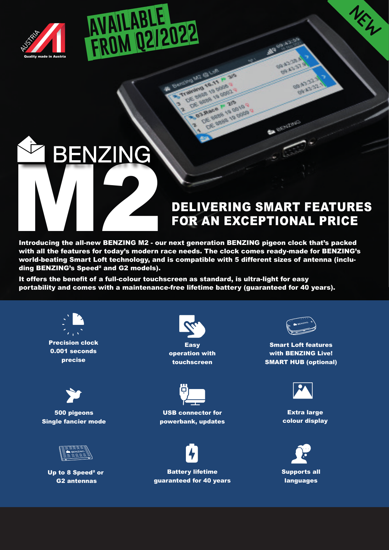

## DELIVERING SMART FEATURES<br>
Marcoducing the all-new BENZING M2 - our next generation BENZING pigeon clock that's packed<br>
With all the features for today's modern race needs. The clock comes ready-made for BENZING's

 $\mathbf{L}$ HNO LOGY WIZ ARDS

 **FROM Q2/2022**

**AVAILABLE** 

## FOR AN EXCEPTIONAL PRICE

**SALES** 西北方

**Basico** 

**SERVICE OF** 

BAY AST

Introducing the all-new BENZING M2 - our next generation BENZING pigeon clock that's packed with all the features for today's modern race needs. The clock comes ready-made for BENZING's world-beating Smart Loft technology, and is compatible with 5 different sizes of antenna (including BENZING's Speed² and G2 models).

**Superintendent MARIO TO JA** 

OF BRIDGE 19 OCE

**DE SIGNED 19 ORIGINAL**<br>SE SIGNED 19 ORIGINAL<br>OE SIGNED 19 ORIGINAL **C. Race P. 25 DE SIGNA 19 0010** Race 19 pp 19<br>JE BRID 19 pp 19

It offers the benefit of a full-colour touchscreen as standard, is ultra-light for easy portability and comes with a maintenance-free lifetime battery (guaranteed for 40 years).